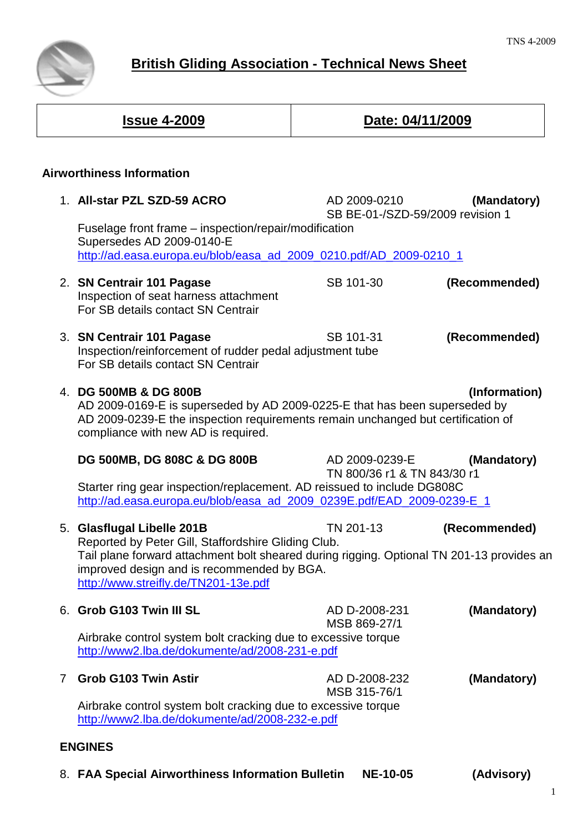

# **British Gliding Association - Technical News Sheet**

| <u><b>Issue 4-2009</b></u> |                                                                                                                                                                                                                                                                      | Date: 04/11/2009                                 |               |
|----------------------------|----------------------------------------------------------------------------------------------------------------------------------------------------------------------------------------------------------------------------------------------------------------------|--------------------------------------------------|---------------|
|                            | <b>Airworthiness Information</b>                                                                                                                                                                                                                                     |                                                  |               |
|                            | 1. All-star PZL SZD-59 ACRO                                                                                                                                                                                                                                          | AD 2009-0210<br>SB BE-01-/SZD-59/2009 revision 1 | (Mandatory)   |
|                            | Fuselage front frame – inspection/repair/modification<br>Supersedes AD 2009-0140-E<br>http://ad.easa.europa.eu/blob/easa_ad_2009_0210.pdf/AD_2009-0210_1                                                                                                             |                                                  |               |
|                            | 2. SN Centrair 101 Pagase<br>Inspection of seat harness attachment<br>For SB details contact SN Centrair                                                                                                                                                             | SB 101-30                                        | (Recommended) |
|                            | 3. SN Centrair 101 Pagase<br>Inspection/reinforcement of rudder pedal adjustment tube<br>For SB details contact SN Centrair                                                                                                                                          | SB 101-31                                        | (Recommended) |
|                            | 4. DG 500MB & DG 800B<br>(Information)<br>AD 2009-0169-E is superseded by AD 2009-0225-E that has been superseded by<br>AD 2009-0239-E the inspection requirements remain unchanged but certification of<br>compliance with new AD is required.                      |                                                  |               |
|                            | DG 500MB, DG 808C & DG 800B<br>Starter ring gear inspection/replacement. AD reissued to include DG808C<br>http://ad.easa.europa.eu/blob/easa_ad_2009_0239E.pdf/EAD_2009-0239-E_1                                                                                     | AD 2009-0239-E<br>TN 800/36 r1 & TN 843/30 r1    | (Mandatory)   |
|                            | 5. Glasflugal Libelle 201B<br>Reported by Peter Gill, Staffordshire Gliding Club.<br>Tail plane forward attachment bolt sheared during rigging. Optional TN 201-13 provides an<br>improved design and is recommended by BGA.<br>http://www.streifly.de/TN201-13e.pdf | TN 201-13                                        | (Recommended) |
|                            | 6. Grob G103 Twin III SL<br>Airbrake control system bolt cracking due to excessive torque<br>http://www2.lba.de/dokumente/ad/2008-231-e.pdf                                                                                                                          | AD D-2008-231<br>MSB 869-27/1                    | (Mandatory)   |
| 7                          | <b>Grob G103 Twin Astir</b>                                                                                                                                                                                                                                          | AD D-2008-232<br>MSB 315-76/1                    | (Mandatory)   |

8. **FAA Special Airworthiness Information Bulletin NE-10-05 (Advisory)**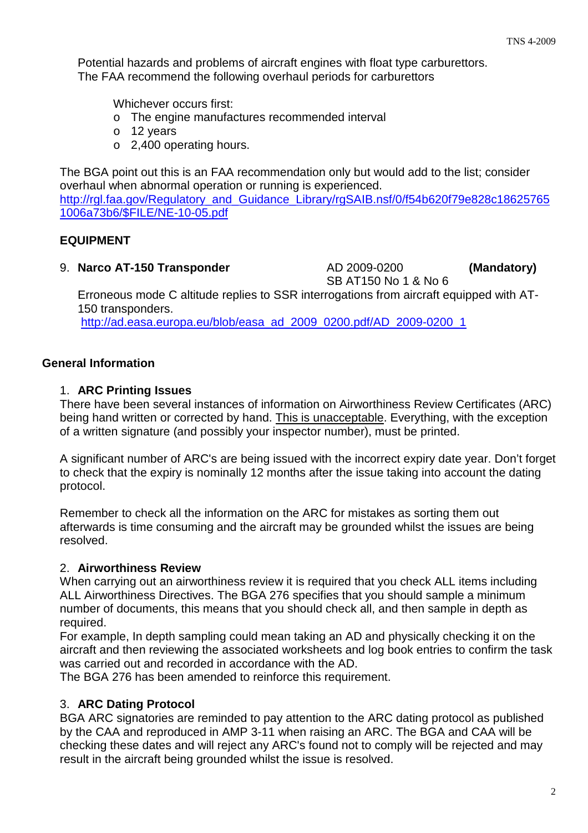Potential hazards and problems of aircraft engines with float type carburettors. The FAA recommend the following overhaul periods for carburettors

Whichever occurs first:

- o The engine manufactures recommended interval
- o 12 years
- o 2,400 operating hours.

The BGA point out this is an FAA recommendation only but would add to the list; consider overhaul when abnormal operation or running is experienced. [http://rgl.faa.gov/Regulatory\\_and\\_Guidance\\_Library/rgSAIB.nsf/0/f54b620f79e828c18625765](http://rgl.faa.gov/Regulatory_and_Guidance_Library/rgSAIB.nsf/0/f54b620f79e828c186257651006a73b6/$FILE/NE-10-05.pdf) [1006a73b6/\\$FILE/NE-10-05.pdf](http://rgl.faa.gov/Regulatory_and_Guidance_Library/rgSAIB.nsf/0/f54b620f79e828c186257651006a73b6/$FILE/NE-10-05.pdf)

## **EQUIPMENT**

9. **Narco AT-150 Transponder** AD 2009-0200 **(Mandatory)**

SB AT150 No 1 & No 6

 Erroneous mode C altitude replies to SSR interrogations from aircraft equipped with AT- 150 transponders.

[http://ad.easa.europa.eu/blob/easa\\_ad\\_2009\\_0200.pdf/AD\\_2009-0200\\_1](http://ad.easa.europa.eu/blob/easa_ad_2009_0200.pdf/AD_2009-0200_1)

## **General Information**

## 1. **ARC Printing Issues**

There have been several instances of information on Airworthiness Review Certificates (ARC) being hand written or corrected by hand. This is unacceptable. Everything, with the exception of a written signature (and possibly your inspector number), must be printed.

A significant number of ARC's are being issued with the incorrect expiry date year. Don't forget to check that the expiry is nominally 12 months after the issue taking into account the dating protocol.

Remember to check all the information on the ARC for mistakes as sorting them out afterwards is time consuming and the aircraft may be grounded whilst the issues are being resolved.

#### 2. **Airworthiness Review**

When carrying out an airworthiness review it is required that you check ALL items including ALL Airworthiness Directives. The BGA 276 specifies that you should sample a minimum number of documents, this means that you should check all, and then sample in depth as required.

For example, In depth sampling could mean taking an AD and physically checking it on the aircraft and then reviewing the associated worksheets and log book entries to confirm the task was carried out and recorded in accordance with the AD.

The BGA 276 has been amended to reinforce this requirement.

## 3. **ARC Dating Protocol**

BGA ARC signatories are reminded to pay attention to the ARC dating protocol as published by the CAA and reproduced in AMP 3-11 when raising an ARC. The BGA and CAA will be checking these dates and will reject any ARC's found not to comply will be rejected and may result in the aircraft being grounded whilst the issue is resolved.